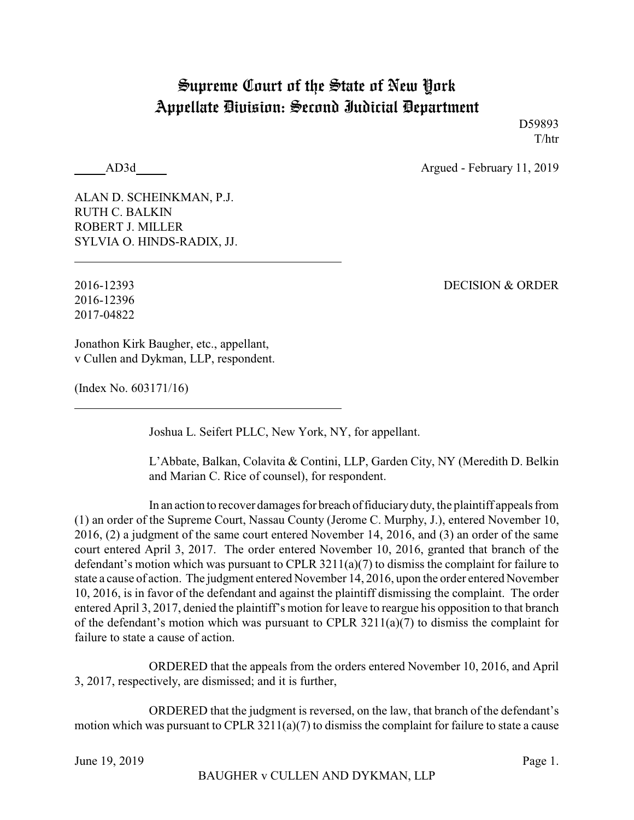## Supreme Court of the State of New York Appellate Division: Second Judicial Department

D59893 T/htr

AD3d Argued - February 11, 2019

ALAN D. SCHEINKMAN, P.J. RUTH C. BALKIN ROBERT J. MILLER SYLVIA O. HINDS-RADIX, JJ.

2016-12396 2017-04822

2016-12393 DECISION & ORDER

Jonathon Kirk Baugher, etc., appellant, v Cullen and Dykman, LLP, respondent.

(Index No. 603171/16)

Joshua L. Seifert PLLC, New York, NY, for appellant.

L'Abbate, Balkan, Colavita & Contini, LLP, Garden City, NY (Meredith D. Belkin and Marian C. Rice of counsel), for respondent.

In an action to recover damages for breach offiduciaryduty, the plaintiff appeals from (1) an order of the Supreme Court, Nassau County (Jerome C. Murphy, J.), entered November 10, 2016, (2) a judgment of the same court entered November 14, 2016, and (3) an order of the same court entered April 3, 2017. The order entered November 10, 2016, granted that branch of the defendant's motion which was pursuant to CPLR 3211(a)(7) to dismiss the complaint for failure to state a cause of action. The judgment entered November 14, 2016, upon the order entered November 10, 2016, is in favor of the defendant and against the plaintiff dismissing the complaint. The order entered April 3, 2017, denied the plaintiff's motion for leave to reargue his opposition to that branch of the defendant's motion which was pursuant to CPLR 3211(a)(7) to dismiss the complaint for failure to state a cause of action.

ORDERED that the appeals from the orders entered November 10, 2016, and April 3, 2017, respectively, are dismissed; and it is further,

ORDERED that the judgment is reversed, on the law, that branch of the defendant's motion which was pursuant to CPLR 3211(a)(7) to dismiss the complaint for failure to state a cause

June 19, 2019 Page 1.

BAUGHER v CULLEN AND DYKMAN, LLP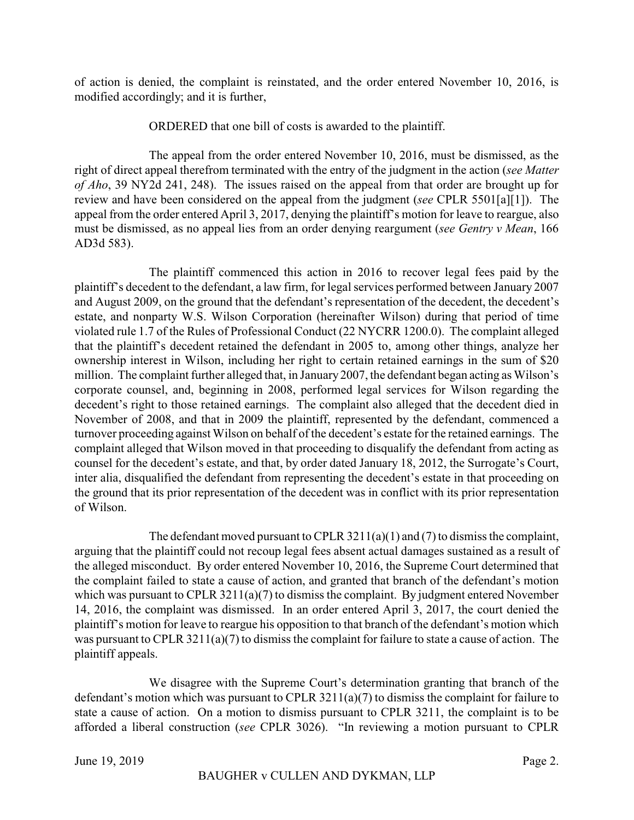of action is denied, the complaint is reinstated, and the order entered November 10, 2016, is modified accordingly; and it is further,

## ORDERED that one bill of costs is awarded to the plaintiff.

The appeal from the order entered November 10, 2016, must be dismissed, as the right of direct appeal therefrom terminated with the entry of the judgment in the action (*see Matter of Aho*, 39 NY2d 241, 248). The issues raised on the appeal from that order are brought up for review and have been considered on the appeal from the judgment (*see* CPLR 5501[a][1]). The appeal from the order entered April 3, 2017, denying the plaintiff's motion for leave to reargue, also must be dismissed, as no appeal lies from an order denying reargument (*see Gentry v Mean*, 166 AD3d 583).

The plaintiff commenced this action in 2016 to recover legal fees paid by the plaintiff's decedent to the defendant, a law firm, for legal services performed between January 2007 and August 2009, on the ground that the defendant's representation of the decedent, the decedent's estate, and nonparty W.S. Wilson Corporation (hereinafter Wilson) during that period of time violated rule 1.7 of the Rules of Professional Conduct (22 NYCRR 1200.0). The complaint alleged that the plaintiff's decedent retained the defendant in 2005 to, among other things, analyze her ownership interest in Wilson, including her right to certain retained earnings in the sum of \$20 million. The complaint further alleged that, in January2007, the defendant began acting as Wilson's corporate counsel, and, beginning in 2008, performed legal services for Wilson regarding the decedent's right to those retained earnings. The complaint also alleged that the decedent died in November of 2008, and that in 2009 the plaintiff, represented by the defendant, commenced a turnover proceeding against Wilson on behalf of the decedent's estate for the retained earnings. The complaint alleged that Wilson moved in that proceeding to disqualify the defendant from acting as counsel for the decedent's estate, and that, by order dated January 18, 2012, the Surrogate's Court, inter alia, disqualified the defendant from representing the decedent's estate in that proceeding on the ground that its prior representation of the decedent was in conflict with its prior representation of Wilson.

The defendant moved pursuant to CPLR 3211(a)(1) and (7) to dismiss the complaint, arguing that the plaintiff could not recoup legal fees absent actual damages sustained as a result of the alleged misconduct. By order entered November 10, 2016, the Supreme Court determined that the complaint failed to state a cause of action, and granted that branch of the defendant's motion which was pursuant to CPLR 3211(a)(7) to dismiss the complaint. By judgment entered November 14, 2016, the complaint was dismissed. In an order entered April 3, 2017, the court denied the plaintiff's motion for leave to reargue his opposition to that branch of the defendant's motion which was pursuant to CPLR 3211(a)(7) to dismiss the complaint for failure to state a cause of action. The plaintiff appeals.

We disagree with the Supreme Court's determination granting that branch of the defendant's motion which was pursuant to CPLR 3211(a)(7) to dismiss the complaint for failure to state a cause of action. On a motion to dismiss pursuant to CPLR 3211, the complaint is to be afforded a liberal construction (*see* CPLR 3026). "In reviewing a motion pursuant to CPLR